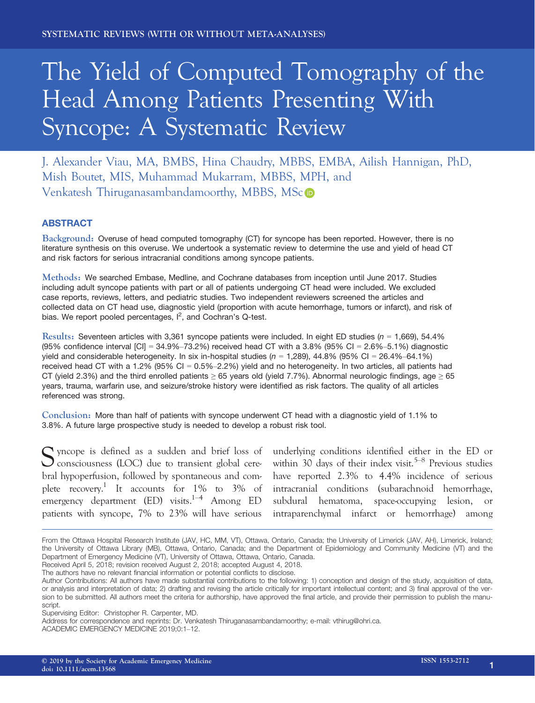# The Yield of Computed Tomography of the Head Among Patients Presenting With Syncope: A Systematic Review

J. Alexander Viau, MA, BMBS, Hina Chaudry, MBBS, EMBA, Ailish Hannigan, PhD, Mish Boutet, MIS, Muhammad Mukarram, MBBS, MPH, and Venkatesh Thiruganasambandamoorthy, MBBS, MS[c](http://orcid.org/0000-0003-4373-3688)

# ABSTRACT

Background: Overuse of head computed tomography (CT) for syncope has been reported. However, there is no literature synthesis on this overuse. We undertook a systematic review to determine the use and yield of head CT and risk factors for serious intracranial conditions among syncope patients.

Methods: We searched Embase, Medline, and Cochrane databases from inception until June 2017. Studies including adult syncope patients with part or all of patients undergoing CT head were included. We excluded case reports, reviews, letters, and pediatric studies. Two independent reviewers screened the articles and collected data on CT head use, diagnostic yield (proportion with acute hemorrhage, tumors or infarct), and risk of bias. We report pooled percentages,  $I^2$ , and Cochran's Q-test.

Results: Seventeen articles with 3,361 syncope patients were included. In eight ED studies ( $n = 1,669$ ), 54.4% (95% confidence interval  $|CI| = 34.9\% - 73.2\%$ ) received head CT with a 3.8% (95% CI = 2.6%-5.1%) diagnostic yield and considerable heterogeneity. In six in-hospital studies ( $n = 1,289$ ), 44.8% (95% CI = 26.4%-64.1%) received head CT with a 1.2% (95% CI = 0.5%–2.2%) yield and no heterogeneity. In two articles, all patients had CT (yield 2.3%) and the third enrolled patients  $\geq$  65 years old (yield 7.7%). Abnormal neurologic findings, age  $\geq$  65 years, trauma, warfarin use, and seizure/stroke history were identified as risk factors. The quality of all articles referenced was strong.

Conclusion: More than half of patients with syncope underwent CT head with a diagnostic yield of 1.1% to 3.8%. A future large prospective study is needed to develop a robust risk tool.

Syncope is defined as a sudden and brief loss of underlying conditions identified either in the ED or<br>
consciousness (LOC) due to transient global cere-<br>
within 30 days of their index visit.<sup>5–8</sup> Previous studies  $\bigcup$  consciousness (LOC) due to transient global cerebral hypoperfusion, followed by spontaneous and complete recovery.<sup>1</sup> It accounts for 1% to 3% of emergency department (ED) visits.<sup>1–4</sup> Among ED patients with syncope, 7% to 23% will have serious

within 30 days of their index visit.<sup>5–8</sup> Previous studies have reported 2.3% to 4.4% incidence of serious intracranial conditions (subarachnoid hemorrhage, subdural hematoma, space-occupying lesion, or intraparenchymal infarct or hemorrhage) among

From the Ottawa Hospital Research Institute (JAV, HC, MM, VT), Ottawa, Ontario, Canada; the University of Limerick (JAV, AH), Limerick, Ireland; the University of Ottawa Library (MB), Ottawa, Ontario, Canada; and the Department of Epidemiology and Community Medicine (VT) and the Department of Emergency Medicine (VT), University of Ottawa, Ottawa, Ontario, Canada. Received April 5, 2018; revision received August 2, 2018; accepted August 4, 2018.

The authors have no relevant financial information or potential conflicts to disclose.

Author Contributions: All authors have made substantial contributions to the following: 1) conception and design of the study, acquisition of data, or analysis and interpretation of data; 2) drafting and revising the article critically for important intellectual content; and 3) final approval of the version to be submitted. All authors meet the criteria for authorship, have approved the final article, and provide their permission to publish the manuscript.

Supervising Editor: Christopher R. Carpenter, MD.

Address for correspondence and reprints: Dr. Venkatesh Thiruganasambandamoorthy; e-mail: [vthirug@ohri.ca.](mailto:)

ACADEMIC EMERGENCY MEDICINE 2019;0:1–12.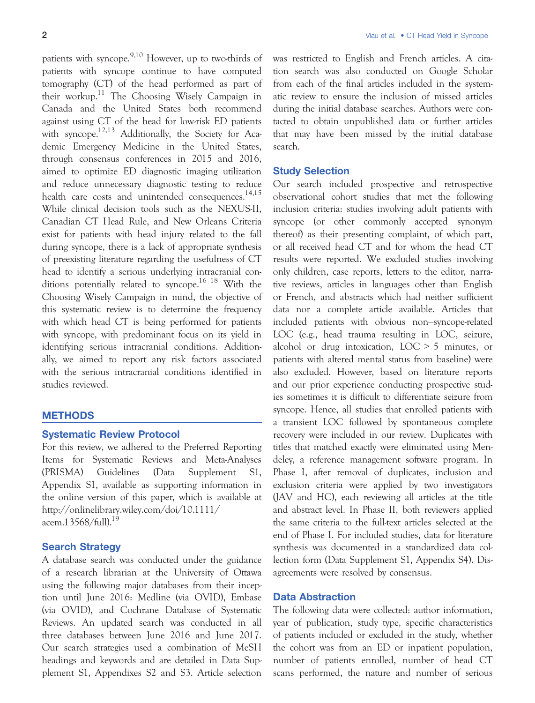patients with syncope.9,10 However, up to two-thirds of patients with syncope continue to have computed tomography (CT) of the head performed as part of their workup.<sup>11</sup> The Choosing Wisely Campaign in Canada and the United States both recommend against using CT of the head for low-risk ED patients with syncope.<sup>12,13</sup> Additionally, the Society for Academic Emergency Medicine in the United States, through consensus conferences in 2015 and 2016, aimed to optimize ED diagnostic imaging utilization and reduce unnecessary diagnostic testing to reduce health care costs and unintended consequences.<sup>14,15</sup> While clinical decision tools such as the NEXUS-II, Canadian CT Head Rule, and New Orleans Criteria exist for patients with head injury related to the fall during syncope, there is a lack of appropriate synthesis of preexisting literature regarding the usefulness of CT head to identify a serious underlying intracranial conditions potentially related to syncope.16–<sup>18</sup> With the Choosing Wisely Campaign in mind, the objective of this systematic review is to determine the frequency with which head CT is being performed for patients with syncope, with predominant focus on its yield in identifying serious intracranial conditions. Additionally, we aimed to report any risk factors associated with the serious intracranial conditions identified in studies reviewed.

# **METHODS**

# Systematic Review Protocol

For this review, we adhered to the Preferred Reporting Items for Systematic Reviews and Meta-Analyses (PRISMA) Guidelines (Data Supplement S1, Appendix S1, available as supporting information in the online version of this paper, which is available at http://onlinelibrary.wiley.com/doi/10.1111/ acem. $13568$ /full $^{19}$ 

# Search Strategy

A database search was conducted under the guidance of a research librarian at the University of Ottawa using the following major databases from their inception until June 2016: Medline (via OVID), Embase (via OVID), and Cochrane Database of Systematic Reviews. An updated search was conducted in all three databases between June 2016 and June 2017. Our search strategies used a combination of MeSH headings and keywords and are detailed in Data Supplement S1, Appendixes S2 and S3. Article selection was restricted to English and French articles. A citation search was also conducted on Google Scholar from each of the final articles included in the systematic review to ensure the inclusion of missed articles during the initial database searches. Authors were contacted to obtain unpublished data or further articles that may have been missed by the initial database search.

# Study Selection

Our search included prospective and retrospective observational cohort studies that met the following inclusion criteria: studies involving adult patients with syncope (or other commonly accepted synonym thereof) as their presenting complaint, of which part, or all received head CT and for whom the head CT results were reported. We excluded studies involving only children, case reports, letters to the editor, narrative reviews, articles in languages other than English or French, and abstracts which had neither sufficient data nor a complete article available. Articles that included patients with obvious non–syncope-related LOC (e.g., head trauma resulting in LOC, seizure, alcohol or drug intoxication, LOC > 5 minutes, or patients with altered mental status from baseline) were also excluded. However, based on literature reports and our prior experience conducting prospective studies sometimes it is difficult to differentiate seizure from syncope. Hence, all studies that enrolled patients with a transient LOC followed by spontaneous complete recovery were included in our review. Duplicates with titles that matched exactly were eliminated using Mendeley, a reference management software program. In Phase I, after removal of duplicates, inclusion and exclusion criteria were applied by two investigators (JAV and HC), each reviewing all articles at the title and abstract level. In Phase II, both reviewers applied the same criteria to the full-text articles selected at the end of Phase I. For included studies, data for literature synthesis was documented in a standardized data collection form (Data Supplement S1, Appendix S4). Disagreements were resolved by consensus.

# Data Abstraction

The following data were collected: author information, year of publication, study type, specific characteristics of patients included or excluded in the study, whether the cohort was from an ED or inpatient population, number of patients enrolled, number of head CT scans performed, the nature and number of serious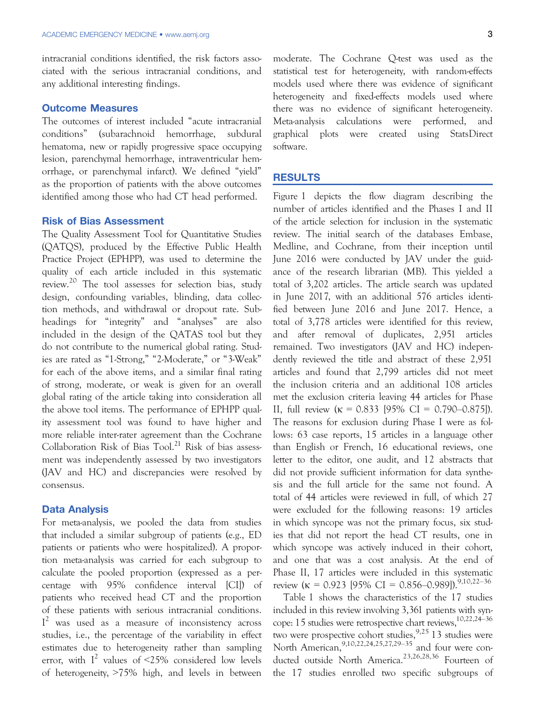intracranial conditions identified, the risk factors associated with the serious intracranial conditions, and any additional interesting findings.

#### Outcome Measures

The outcomes of interest included "acute intracranial conditions" (subarachnoid hemorrhage, subdural hematoma, new or rapidly progressive space occupying lesion, parenchymal hemorrhage, intraventricular hemorrhage, or parenchymal infarct). We defined "yield" as the proportion of patients with the above outcomes identified among those who had CT head performed.

#### Risk of Bias Assessment

The Quality Assessment Tool for Quantitative Studies (QATQS), produced by the Effective Public Health Practice Project (EPHPP), was used to determine the quality of each article included in this systematic review.<sup>20</sup> The tool assesses for selection bias, study design, confounding variables, blinding, data collection methods, and withdrawal or dropout rate. Subheadings for "integrity" and "analyses" are also included in the design of the QATAS tool but they do not contribute to the numerical global rating. Studies are rated as "1-Strong," "2-Moderate," or "3-Weak" for each of the above items, and a similar final rating of strong, moderate, or weak is given for an overall global rating of the article taking into consideration all the above tool items. The performance of EPHPP quality assessment tool was found to have higher and more reliable inter-rater agreement than the Cochrane Collaboration Risk of Bias  $Tool^{21}$  Risk of bias assessment was independently assessed by two investigators (JAV and HC) and discrepancies were resolved by consensus.

### Data Analysis

For meta-analysis, we pooled the data from studies that included a similar subgroup of patients (e.g., ED patients or patients who were hospitalized). A proportion meta-analysis was carried for each subgroup to calculate the pooled proportion (expressed as a percentage with 95% confidence interval [CI]) of patients who received head CT and the proportion of these patients with serious intracranial conditions.  $I<sup>2</sup>$  was used as a measure of inconsistency across studies, i.e., the percentage of the variability in effect estimates due to heterogeneity rather than sampling error, with  $I^2$  values of <25% considered low levels of heterogeneity, >75% high, and levels in between moderate. The Cochrane Q-test was used as the statistical test for heterogeneity, with random-effects models used where there was evidence of significant heterogeneity and fixed-effects models used where there was no evidence of significant heterogeneity. Meta-analysis calculations were performed, and graphical plots were created using StatsDirect software.

#### RESULTS

Figure 1 depicts the flow diagram describing the number of articles identified and the Phases I and II of the article selection for inclusion in the systematic review. The initial search of the databases Embase, Medline, and Cochrane, from their inception until June 2016 were conducted by JAV under the guidance of the research librarian (MB). This yielded a total of 3,202 articles. The article search was updated in June 2017, with an additional 576 articles identified between June 2016 and June 2017. Hence, a total of 3,778 articles were identified for this review, and after removal of duplicates, 2,951 articles remained. Two investigators (JAV and HC) independently reviewed the title and abstract of these 2,951 articles and found that 2,799 articles did not meet the inclusion criteria and an additional 108 articles met the exclusion criteria leaving 44 articles for Phase II, full review  $(\kappa = 0.833$  [95% CI = 0.790–0.875]). The reasons for exclusion during Phase I were as follows: 63 case reports, 15 articles in a language other than English or French, 16 educational reviews, one letter to the editor, one audit, and 12 abstracts that did not provide sufficient information for data synthesis and the full article for the same not found. A total of 44 articles were reviewed in full, of which 27 were excluded for the following reasons: 19 articles in which syncope was not the primary focus, six studies that did not report the head CT results, one in which syncope was actively induced in their cohort, and one that was a cost analysis. At the end of Phase II, 17 articles were included in this systematic review ( $\kappa$  = 0.923 [95% CI = 0.856–0.989]).<sup>9,10,22–36</sup>

Table 1 shows the characteristics of the 17 studies included in this review involving 3,361 patients with syncope: 15 studies were retrospective chart reviews,10,22,24–<sup>36</sup> two were prospective cohort studies,  $9.25$  13 studies were North American, <sup>9,10,22,24,25,27,29–35</sup> and four were conducted outside North America.23,26,28,36 Fourteen of the 17 studies enrolled two specific subgroups of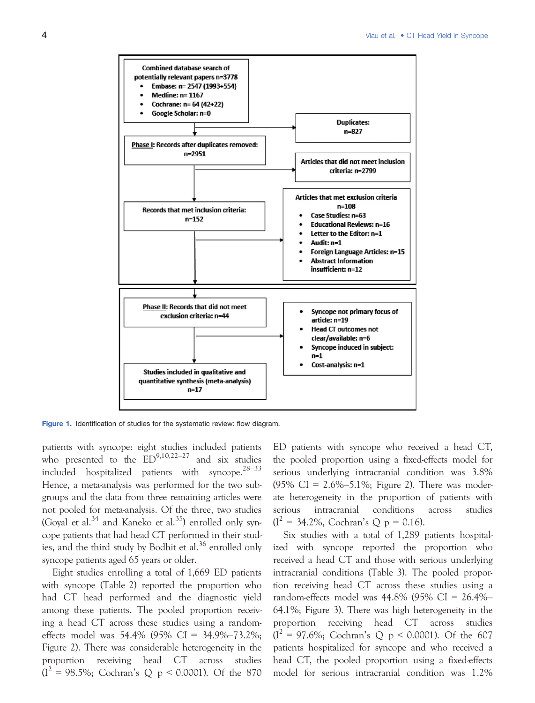

Figure 1. Identification of studies for the systematic review: flow diagram.

patients with syncope: eight studies included patients who presented to the  $ED^{9,10,22-27}$  and six studies included hospitalized patients with syncope.28–<sup>33</sup> Hence, a meta-analysis was performed for the two subgroups and the data from three remaining articles were not pooled for meta-analysis. Of the three, two studies (Goyal et al.<sup>34</sup> and Kaneko et al.<sup>35</sup>) enrolled only syncope patients that had head CT performed in their studies, and the third study by Bodhit et al. $36$  enrolled only syncope patients aged 65 years or older.

Eight studies enrolling a total of 1,669 ED patients with syncope (Table 2) reported the proportion who had CT head performed and the diagnostic yield among these patients. The pooled proportion receiving a head CT across these studies using a randomeffects model was 54.4% (95% CI = 34.9%–73.2%; Figure 2). There was considerable heterogeneity in the proportion receiving head CT across studies  $(I^2 = 98.5\%;$  Cochran's Q p < 0.0001). Of the 870 ED patients with syncope who received a head CT, the pooled proportion using a fixed-effects model for serious underlying intracranial condition was 3.8% (95% CI =  $2.6\% - 5.1\%$ ; Figure 2). There was moderate heterogeneity in the proportion of patients with serious intracranial conditions across studies  $(I^2 = 34.2\%, \text{ Cochran's Q p} = 0.16).$ 

Six studies with a total of 1,289 patients hospitalized with syncope reported the proportion who received a head CT and those with serious underlying intracranial conditions (Table 3). The pooled proportion receiving head CT across these studies using a random-effects model was 44.8% (95% CI = 26.4%– 64.1%; Figure 3). There was high heterogeneity in the proportion receiving head CT across studies  $(I^2 = 97.6\%;$  Cochran's Q p < 0.0001). Of the 607 patients hospitalized for syncope and who received a head CT, the pooled proportion using a fixed-effects model for serious intracranial condition was 1.2%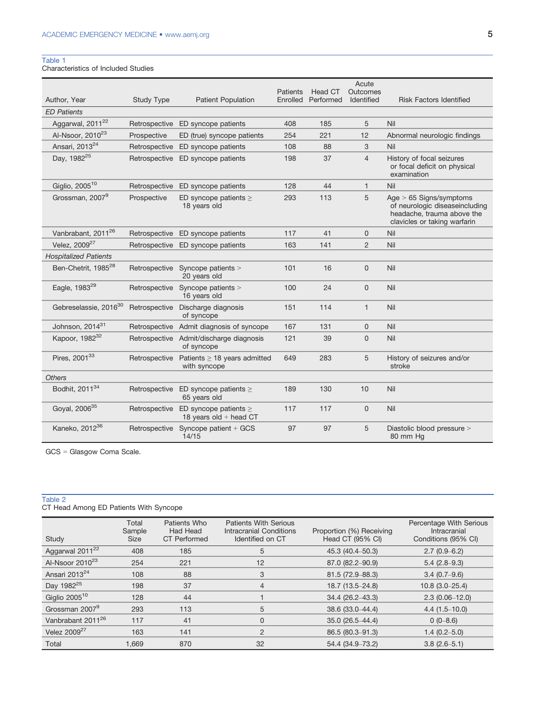# Table 1

Characteristics of Included Studies

|                                   |                   |                                                        | Patients | Head CT   | Acute<br>Outcomes |                                                                                                                           |
|-----------------------------------|-------------------|--------------------------------------------------------|----------|-----------|-------------------|---------------------------------------------------------------------------------------------------------------------------|
| Author, Year                      | <b>Study Type</b> | <b>Patient Population</b>                              | Enrolled | Performed | Identified        | <b>Risk Factors Identified</b>                                                                                            |
| <b>ED Patients</b>                |                   |                                                        |          |           |                   |                                                                                                                           |
| Aggarwal, 2011 <sup>22</sup>      |                   | Retrospective ED syncope patients                      | 408      | 185       | 5                 | Nil                                                                                                                       |
| Al-Nsoor, 2010 <sup>23</sup>      | Prospective       | ED (true) syncope patients                             | 254      | 221       | 12                | Abnormal neurologic findings                                                                                              |
| Ansari, 2013 <sup>24</sup>        | Retrospective     | ED syncope patients                                    | 108      | 88        | 3                 | Nil                                                                                                                       |
| Day, 1982 <sup>25</sup>           | Retrospective     | ED syncope patients                                    | 198      | 37        | $\overline{4}$    | History of focal seizures<br>or focal deficit on physical<br>examination                                                  |
| Giglio, 2005 <sup>10</sup>        | Retrospective     | ED syncope patients                                    | 128      | 44        | $\mathbf{1}$      | Nil                                                                                                                       |
| Grossman, 2007 <sup>9</sup>       | Prospective       | ED syncope patients $\geq$<br>18 years old             | 293      | 113       | 5                 | Age $> 65$ Signs/symptoms<br>of neurologic diseaseincluding<br>headache, trauma above the<br>clavicles or taking warfarin |
| Vanbrabant, 2011 <sup>26</sup>    | Retrospective     | ED syncope patients                                    | 117      | 41        | 0                 | Nil                                                                                                                       |
| Velez, 2009 <sup>27</sup>         |                   | Retrospective ED syncope patients                      | 163      | 141       | $\overline{2}$    | Nil                                                                                                                       |
| <b>Hospitalized Patients</b>      |                   |                                                        |          |           |                   |                                                                                                                           |
| Ben-Chetrit, 1985 <sup>28</sup>   |                   | Retrospective Syncope patients ><br>20 years old       | 101      | 16        | 0                 | Nil                                                                                                                       |
| Eagle, 1983 <sup>29</sup>         | Retrospective     | Syncope patients ><br>16 years old                     | 100      | 24        | 0                 | Nil                                                                                                                       |
| Gebreselassie, 2016 <sup>30</sup> | Retrospective     | Discharge diagnosis<br>of syncope                      | 151      | 114       | $\mathbf{1}$      | Nil                                                                                                                       |
| Johnson, 2014 <sup>31</sup>       | Retrospective     | Admit diagnosis of syncope                             | 167      | 131       | 0                 | Nil                                                                                                                       |
| Kapoor, 1982 <sup>32</sup>        |                   | Retrospective Admit/discharge diagnosis<br>of syncope  | 121      | 39        | 0                 | Nil                                                                                                                       |
| Pires, 2001 <sup>33</sup>         | Retrospective     | Patients $\geq$ 18 years admitted<br>with syncope      | 649      | 283       | 5                 | History of seizures and/or<br>stroke                                                                                      |
| <b>Others</b>                     |                   |                                                        |          |           |                   |                                                                                                                           |
| Bodhit, 2011 <sup>34</sup>        | Retrospective     | ED syncope patients $\geq$<br>65 years old             | 189      | 130       | 10                | Nil                                                                                                                       |
| Goyal, 2006 <sup>35</sup>         | Retrospective     | ED syncope patients $\geq$<br>18 years old $+$ head CT | 117      | 117       | 0                 | Nil                                                                                                                       |
| Kaneko, 2012 <sup>36</sup>        |                   | Retrospective Syncope patient + GCS<br>14/15           | 97       | 97        | 5                 | Diastolic blood pressure ><br>80 mm Hg                                                                                    |

GCS = Glasgow Coma Scale.

#### Table 2

CT Head Among ED Patients With Syncope

| Study                         | Total<br>Sample<br>Size | Patients Who<br><b>Had Head</b><br><b>CT</b> Performed | <b>Patients With Serious</b><br>Intracranial Conditions<br>Identified on CT | Proportion (%) Receiving<br>Head CT (95% CI) | Percentage With Serious<br>Intracranial<br>Conditions (95% CI) |
|-------------------------------|-------------------------|--------------------------------------------------------|-----------------------------------------------------------------------------|----------------------------------------------|----------------------------------------------------------------|
| Aggarwal 2011 <sup>22</sup>   | 408                     | 185                                                    | 5                                                                           | 45.3 (40.4-50.3)                             | $2.7(0.9-6.2)$                                                 |
| Al-Nsoor $2010^{23}$          | 254                     | 221                                                    | 12                                                                          | 87.0 (82.2-90.9)                             | $5.4(2.8-9.3)$                                                 |
| Ansari 2013 <sup>24</sup>     | 108                     | 88                                                     | 3                                                                           | 81.5 (72.9-88.3)                             | $3.4(0.7-9.6)$                                                 |
| Day 1982 <sup>25</sup>        | 198                     | 37                                                     | $\overline{4}$                                                              | 18.7 (13.5-24.8)                             | $10.8$ (3.0-25.4)                                              |
| Giglio $2005^{10}$            | 128                     | 44                                                     |                                                                             | $34.4(26.2 - 43.3)$                          | $2.3(0.06 - 12.0)$                                             |
| Grossman 2007 <sup>9</sup>    | 293                     | 113                                                    | 5                                                                           | 38.6 (33.0-44.4)                             | $4.4(1.5-10.0)$                                                |
| Vanbrabant 2011 <sup>26</sup> | 117                     | 41                                                     | 0                                                                           | 35.0 (26.5-44.4)                             | $0(0-8.6)$                                                     |
| Velez $2009^{27}$             | 163                     | 141                                                    | $\overline{2}$                                                              | 86.5 (80.3-91.3)                             | $1.4(0.2 - 5.0)$                                               |
| Total                         | 1.669                   | 870                                                    | 32                                                                          | 54.4 (34.9–73.2)                             | $3.8(2.6 - 5.1)$                                               |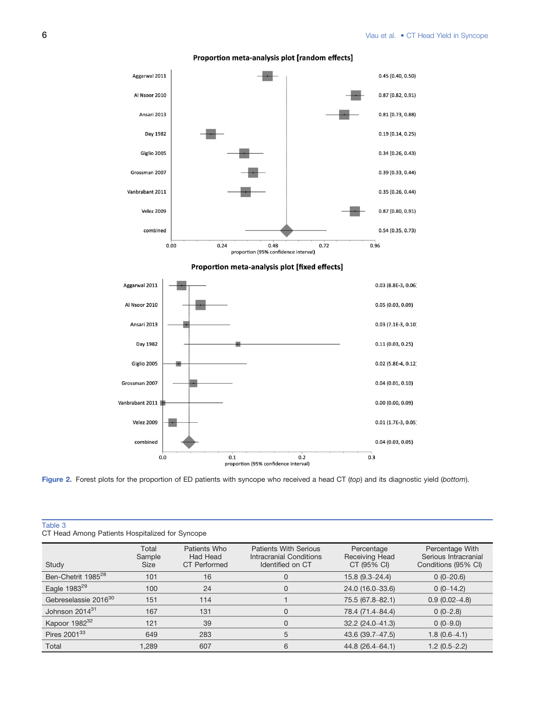

#### Proportion meta-analysis plot [random effects]

Figure 2. Forest plots for the proportion of ED patients with syncope who received a head CT (top) and its diagnostic yield (bottom).

| CT Head Among Patients Hospitalized for Syncope |                         |                                                 |                                                                             |                                             |                                                                |  |  |
|-------------------------------------------------|-------------------------|-------------------------------------------------|-----------------------------------------------------------------------------|---------------------------------------------|----------------------------------------------------------------|--|--|
| Study                                           | Total<br>Sample<br>Size | Patients Who<br>Had Head<br><b>CT</b> Performed | <b>Patients With Serious</b><br>Intracranial Conditions<br>Identified on CT | Percentage<br>Receiving Head<br>CT (95% CI) | Percentage With<br>Serious Intracranial<br>Conditions (95% CI) |  |  |
| Ben-Chetrit 1985 <sup>28</sup>                  | 101                     | 16                                              | 0                                                                           | $15.8(9.3 - 24.4)$                          | $0(0-20.6)$                                                    |  |  |
| Eagle 1983 <sup>29</sup>                        | 100                     | 24                                              | 0                                                                           | 24.0 (16.0-33.6)                            | $0(0-14.2)$                                                    |  |  |
| Gebreselassie 2016 <sup>30</sup>                | 151                     | 114                                             |                                                                             | 75.5 (67.8-82.1)                            | $0.9(0.02 - 4.8)$                                              |  |  |
| Johnson 2014 <sup>31</sup>                      | 167                     | 131                                             | 0                                                                           | 78.4 (71.4–84.4)                            | $0(0-2.8)$                                                     |  |  |
| Kapoor 1982 <sup>32</sup>                       | 121                     | 39                                              | 0                                                                           | $32.2(24.0-41.3)$                           | $0(0-9.0)$                                                     |  |  |
| Pires 2001 <sup>33</sup>                        | 649                     | 283                                             | 5                                                                           | 43.6 (39.7-47.5)                            | $1.8(0.6-4.1)$                                                 |  |  |
| Total                                           | 1.289                   | 607                                             | 6                                                                           | 44.8 (26.4–64.1)                            | $1.2(0.5-2.2)$                                                 |  |  |

Table 3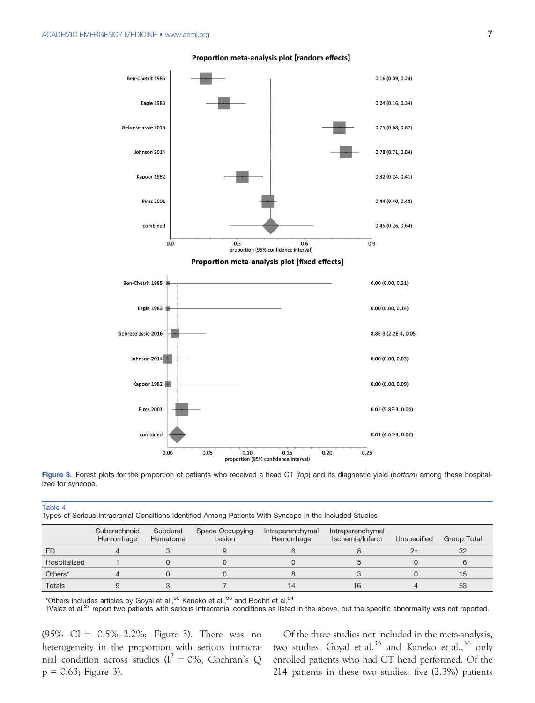

#### Proportion meta-analysis plot [random effects]

Figure 3. Forest plots for the proportion of patients who received a head CT (top) and its diagnostic yield (bottom) among those hospitalized for syncope.

| $\sim$<br>Types of Serious Intracranial Conditions Identified Among Patients With Syncope in the Included Studies |                            |                      |                           |                                |                                      |                |             |
|-------------------------------------------------------------------------------------------------------------------|----------------------------|----------------------|---------------------------|--------------------------------|--------------------------------------|----------------|-------------|
|                                                                                                                   | Subarachnoid<br>Hemorrhage | Subdural<br>Hematoma | Space Occupying<br>Lesion | Intraparenchymal<br>Hemorrhage | Intraparenchymal<br>Ischemia/Infarct | Unspecified    | Group Total |
| ED                                                                                                                |                            |                      |                           |                                |                                      | 2 <sup>†</sup> | 32          |
| Hospitalized                                                                                                      |                            |                      |                           |                                |                                      |                |             |
| Others*                                                                                                           |                            |                      |                           |                                |                                      |                | 15          |
| <b>Totals</b>                                                                                                     |                            |                      |                           | 14                             | 16                                   |                | 53          |

\*Others includes articles by Goyal et al.,  $35$  Kaneko et al.,  $36$  and Bodhit et al.  $34$ 

†Velez et al.27 report two patients with serious intracranial conditions as listed in the above, but the specific abnormality was not reported.

(95% CI = 0.5%–2.2%; Figure 3). There was no heterogeneity in the proportion with serious intracranial condition across studies ( $I^2 = 0$ %, Cochran's Q  $p = 0.63$ ; Figure 3).

Table 4

Of the three studies not included in the meta-analysis, two studies, Goyal et al.<sup>35</sup> and Kaneko et al.,<sup>36</sup> only enrolled patients who had CT head performed. Of the 214 patients in these two studies, five (2.3%) patients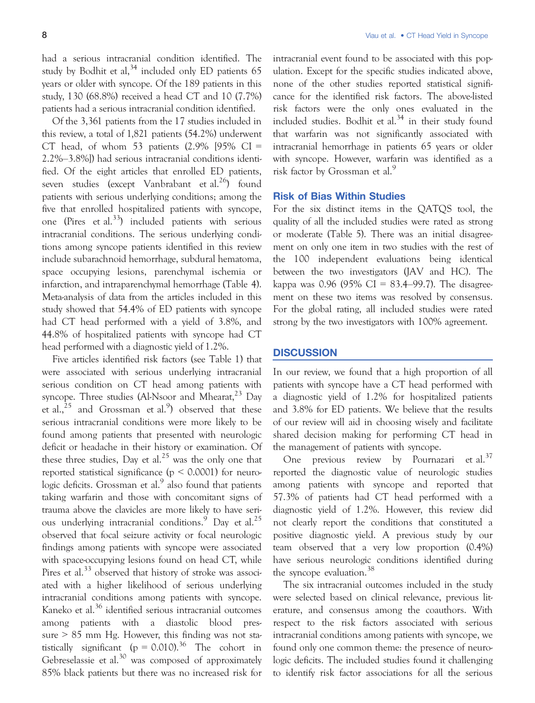had a serious intracranial condition identified. The study by Bodhit et al,  $34$  included only ED patients 65 years or older with syncope. Of the 189 patients in this study, 130 (68.8%) received a head CT and 10 (7.7%) patients had a serious intracranial condition identified.

Of the 3,361 patients from the 17 studies included in this review, a total of 1,821 patients (54.2%) underwent CT head, of whom 53 patients  $(2.9\%$  [95% CI = 2.2%–3.8%]) had serious intracranial conditions identified. Of the eight articles that enrolled ED patients, seven studies (except Vanbrabant et al.<sup>26</sup>) found patients with serious underlying conditions; among the five that enrolled hospitalized patients with syncope, one (Pires et al.<sup>33</sup>) included patients with serious intracranial conditions. The serious underlying conditions among syncope patients identified in this review include subarachnoid hemorrhage, subdural hematoma, space occupying lesions, parenchymal ischemia or infarction, and intraparenchymal hemorrhage (Table 4). Meta-analysis of data from the articles included in this study showed that 54.4% of ED patients with syncope had CT head performed with a yield of 3.8%, and 44.8% of hospitalized patients with syncope had CT head performed with a diagnostic yield of 1.2%.

Five articles identified risk factors (see Table 1) that were associated with serious underlying intracranial serious condition on CT head among patients with syncope. Three studies (Al-Nsoor and Mhearat,  $^{23}$  Day et al., $^{25}$  and Grossman et al.<sup>9</sup>) observed that these serious intracranial conditions were more likely to be found among patients that presented with neurologic deficit or headache in their history or examination. Of these three studies, Day et al.<sup>25</sup> was the only one that reported statistical significance ( $p \le 0.0001$ ) for neurologic deficits. Grossman et al. $9$  also found that patients taking warfarin and those with concomitant signs of trauma above the clavicles are more likely to have serious underlying intracranial conditions.<sup>9</sup> Day et al.<sup>25</sup> observed that focal seizure activity or focal neurologic findings among patients with syncope were associated with space-occupying lesions found on head CT, while Pires et al.<sup>33</sup> observed that history of stroke was associated with a higher likelihood of serious underlying intracranial conditions among patients with syncope. Kaneko et al.<sup>36</sup> identified serious intracranial outcomes among patients with a diastolic blood pressure  $> 85$  mm Hg. However, this finding was not statistically significant ( $p = 0.010$ ).<sup>36</sup> The cohort in Gebreselassie et al. $30$  was composed of approximately 85% black patients but there was no increased risk for

intracranial event found to be associated with this population. Except for the specific studies indicated above, none of the other studies reported statistical significance for the identified risk factors. The above-listed risk factors were the only ones evaluated in the included studies. Bodhit et al. $34$  in their study found that warfarin was not significantly associated with intracranial hemorrhage in patients 65 years or older with syncope. However, warfarin was identified as a risk factor by Grossman et al.<sup>9</sup>

## Risk of Bias Within Studies

For the six distinct items in the QATQS tool, the quality of all the included studies were rated as strong or moderate (Table 5). There was an initial disagreement on only one item in two studies with the rest of the 100 independent evaluations being identical between the two investigators (JAV and HC). The kappa was 0.96 (95% CI = 83.4–99.7). The disagreement on these two items was resolved by consensus. For the global rating, all included studies were rated strong by the two investigators with 100% agreement.

#### **DISCUSSION**

In our review, we found that a high proportion of all patients with syncope have a CT head performed with a diagnostic yield of 1.2% for hospitalized patients and 3.8% for ED patients. We believe that the results of our review will aid in choosing wisely and facilitate shared decision making for performing CT head in the management of patients with syncope.

One previous review by Pournazari et al.<sup>37</sup> reported the diagnostic value of neurologic studies among patients with syncope and reported that 57.3% of patients had CT head performed with a diagnostic yield of 1.2%. However, this review did not clearly report the conditions that constituted a positive diagnostic yield. A previous study by our team observed that a very low proportion (0.4%) have serious neurologic conditions identified during the syncope evaluation.<sup>38</sup>

The six intracranial outcomes included in the study were selected based on clinical relevance, previous literature, and consensus among the coauthors. With respect to the risk factors associated with serious intracranial conditions among patients with syncope, we found only one common theme: the presence of neurologic deficits. The included studies found it challenging to identify risk factor associations for all the serious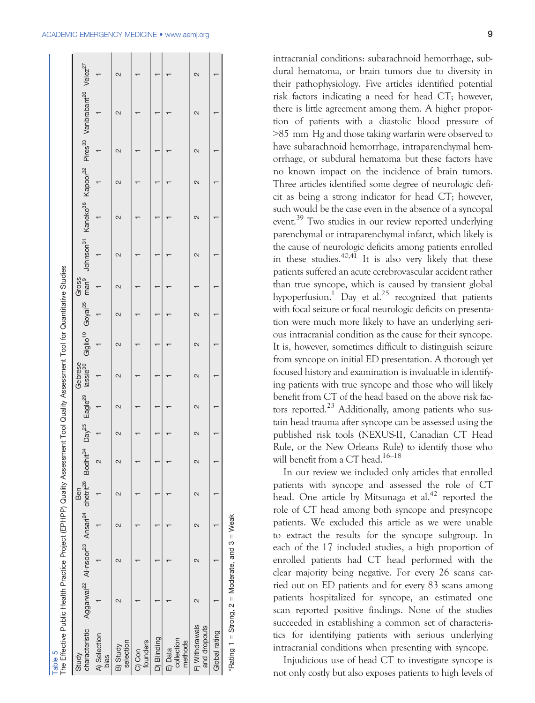| man <sup>9</sup> Johnson <sup>31</sup> Kaneko <sup>36</sup> Kapoor <sup>32</sup> Pires <sup>33</sup> Vanbrabant <sup>26</sup> Velez <sup>27</sup><br>2<br>2<br>$\mathbf{\Omega}$<br>$\scriptstyle\sim$<br>$\mathbf{\Omega}$<br>$\scriptstyle\sim$<br>$\mathbf{\Omega}$<br>2<br>2<br>2<br>$\overline{\mathcal{C}}$<br>$\mathbf{\Omega}$<br>Gross<br>Giglio <sup>10</sup> Goyal <sup>35</sup><br>$\mathbf{\Omega}$<br>2<br>2<br>N<br>characteristic Aggarwal <sup>22</sup> Al-nsoor <sup>23</sup> Ansari <sup>24</sup> chetrit <sup>28</sup> Bodhit <sup>34</sup> Day <sup>25</sup> Eagle <sup>29</sup> lassie <sup>30</sup><br>Gebrese<br>2<br>2<br>2<br>2<br>2<br>2<br>$\sim$<br>2<br>2<br>Ben<br>N<br>$\mathbf{\Omega}$<br>$\sim$<br>$\sim$<br>$\mathbf{\Omega}$<br>$\scriptstyle\sim$<br>F) Withdrawals<br>and dropouts<br>Global rating<br>A) Selection<br>D) Blinding<br>collection<br>methods<br>selection<br>founders<br>B) Study<br>E) Data<br>C) Con<br>Study<br>bias |
|-------------------------------------------------------------------------------------------------------------------------------------------------------------------------------------------------------------------------------------------------------------------------------------------------------------------------------------------------------------------------------------------------------------------------------------------------------------------------------------------------------------------------------------------------------------------------------------------------------------------------------------------------------------------------------------------------------------------------------------------------------------------------------------------------------------------------------------------------------------------------------------------------------------------------------------------------------------------------------|
|                                                                                                                                                                                                                                                                                                                                                                                                                                                                                                                                                                                                                                                                                                                                                                                                                                                                                                                                                                               |
|                                                                                                                                                                                                                                                                                                                                                                                                                                                                                                                                                                                                                                                                                                                                                                                                                                                                                                                                                                               |
|                                                                                                                                                                                                                                                                                                                                                                                                                                                                                                                                                                                                                                                                                                                                                                                                                                                                                                                                                                               |
|                                                                                                                                                                                                                                                                                                                                                                                                                                                                                                                                                                                                                                                                                                                                                                                                                                                                                                                                                                               |
|                                                                                                                                                                                                                                                                                                                                                                                                                                                                                                                                                                                                                                                                                                                                                                                                                                                                                                                                                                               |
|                                                                                                                                                                                                                                                                                                                                                                                                                                                                                                                                                                                                                                                                                                                                                                                                                                                                                                                                                                               |
|                                                                                                                                                                                                                                                                                                                                                                                                                                                                                                                                                                                                                                                                                                                                                                                                                                                                                                                                                                               |
|                                                                                                                                                                                                                                                                                                                                                                                                                                                                                                                                                                                                                                                                                                                                                                                                                                                                                                                                                                               |

intracranial conditions: subarachnoid hemorrhage, subdural hematoma, or brain tumors due to diversity in their pathophysiology. Five articles identified potential risk factors indicating a need for head CT; however, there is little agreement among them. A higher proportion of patients with a diastolic blood pressure of >85 mm Hg and those taking warfarin were observed to have subarachnoid hemorrhage, intraparenchymal hemorrhage, or subdural hematoma but these factors have no known impact on the incidence of brain tumors. Three articles identified some degree of neurologic deficit as being a strong indicator for head CT; however, such would be the case even in the absence of a syncopal event.<sup>39</sup> Two studies in our review reported underlying parenchymal or intraparenchymal infarct, which likely is the cause of neurologic deficits among patients enrolled in these studies.<sup>40,41</sup> It is also very likely that these patients suffered an acute cerebrovascular accident rather than true syncope, which is caused by transient global hypoperfusion.<sup>1</sup> Day et al.<sup>25</sup> recognized that patients with focal seizure or focal neurologic deficits on presentation were much more likely to have an underlying serious intracranial condition as the cause for their syncope. It is, however, sometimes difficult to distinguish seizure from syncope on initial ED presentation. A thorough yet focused history and examination is invaluable in identifying patients with true syncope and those who will likely benefit from CT of the head based on the above risk factors reported.<sup>23</sup> Additionally, among patients who sustain head trauma after syncope can be assessed using the published risk tools (NEXUS-II, Canadian CT Head Rule, or the New Orleans Rule) to identify those who will benefit from a CT head.<sup>16–18</sup>

In our review we included only articles that enrolled patients with syncope and assessed the role of CT head. One article by Mitsunaga et al.<sup>42</sup> reported the role of CT head among both syncope and presyncope patients. We excluded this article as we were unable to extract the results for the syncope subgroup. In each of the 17 included studies, a high proportion of enrolled patients had CT head performed with the clear majority being negative. For every 26 scans carried out on ED patients and for every 83 scans among patients hospitalized for syncope, an estimated one scan reported positive findings. None of the studies succeeded in establishing a common set of characteristics for identifying patients with serious underlying intracranial conditions when presenting with syncope.

Injudicious use of head CT to investigate syncope is not only costly but also exposes patients to high levels of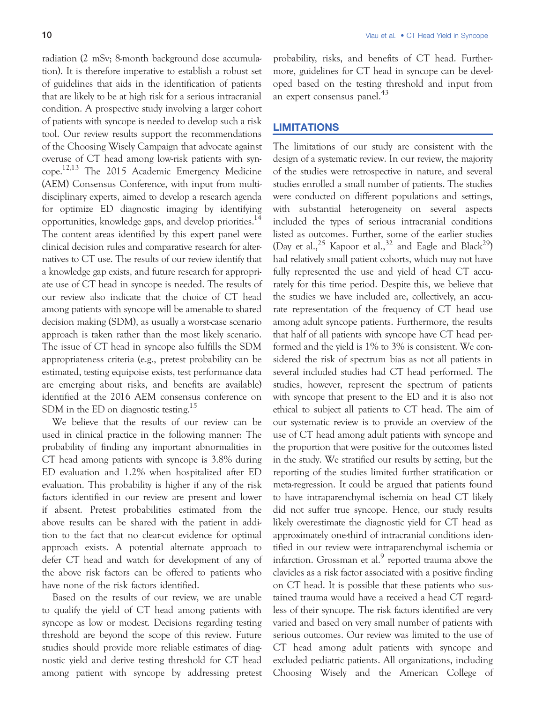radiation (2 mSv; 8-month background dose accumulation). It is therefore imperative to establish a robust set of guidelines that aids in the identification of patients that are likely to be at high risk for a serious intracranial condition. A prospective study involving a larger cohort of patients with syncope is needed to develop such a risk tool. Our review results support the recommendations of the Choosing Wisely Campaign that advocate against overuse of CT head among low-risk patients with syncope.12,13 The 2015 Academic Emergency Medicine (AEM) Consensus Conference, with input from multidisciplinary experts, aimed to develop a research agenda for optimize ED diagnostic imaging by identifying opportunities, knowledge gaps, and develop priorities.14 The content areas identified by this expert panel were clinical decision rules and comparative research for alternatives to CT use. The results of our review identify that a knowledge gap exists, and future research for appropriate use of CT head in syncope is needed. The results of our review also indicate that the choice of CT head among patients with syncope will be amenable to shared decision making (SDM), as usually a worst-case scenario approach is taken rather than the most likely scenario. The issue of CT head in syncope also fulfills the SDM appropriateness criteria (e.g., pretest probability can be estimated, testing equipoise exists, test performance data are emerging about risks, and benefits are available) identified at the 2016 AEM consensus conference on SDM in the ED on diagnostic testing.<sup>15</sup>

We believe that the results of our review can be used in clinical practice in the following manner: The probability of finding any important abnormalities in CT head among patients with syncope is 3.8% during ED evaluation and 1.2% when hospitalized after ED evaluation. This probability is higher if any of the risk factors identified in our review are present and lower if absent. Pretest probabilities estimated from the above results can be shared with the patient in addition to the fact that no clear-cut evidence for optimal approach exists. A potential alternate approach to defer CT head and watch for development of any of the above risk factors can be offered to patients who have none of the risk factors identified.

Based on the results of our review, we are unable to qualify the yield of CT head among patients with syncope as low or modest. Decisions regarding testing threshold are beyond the scope of this review. Future studies should provide more reliable estimates of diagnostic yield and derive testing threshold for CT head among patient with syncope by addressing pretest probability, risks, and benefits of CT head. Furthermore, guidelines for CT head in syncope can be developed based on the testing threshold and input from an expert consensus panel.<sup>43</sup>

# **LIMITATIONS**

The limitations of our study are consistent with the design of a systematic review. In our review, the majority of the studies were retrospective in nature, and several studies enrolled a small number of patients. The studies were conducted on different populations and settings, with substantial heterogeneity on several aspects included the types of serious intracranial conditions listed as outcomes. Further, some of the earlier studies (Day et al.,  $2^5$  Kapoor et al.,  $3^2$  and Eagle and Black<sup>29</sup>) had relatively small patient cohorts, which may not have fully represented the use and yield of head CT accurately for this time period. Despite this, we believe that the studies we have included are, collectively, an accurate representation of the frequency of CT head use among adult syncope patients. Furthermore, the results that half of all patients with syncope have CT head performed and the yield is 1% to 3% is consistent. We considered the risk of spectrum bias as not all patients in several included studies had CT head performed. The studies, however, represent the spectrum of patients with syncope that present to the ED and it is also not ethical to subject all patients to CT head. The aim of our systematic review is to provide an overview of the use of CT head among adult patients with syncope and the proportion that were positive for the outcomes listed in the study. We stratified our results by setting, but the reporting of the studies limited further stratification or meta-regression. It could be argued that patients found to have intraparenchymal ischemia on head CT likely did not suffer true syncope. Hence, our study results likely overestimate the diagnostic yield for CT head as approximately one-third of intracranial conditions identified in our review were intraparenchymal ischemia or infarction. Grossman et al. $<sup>9</sup>$  reported trauma above the</sup> clavicles as a risk factor associated with a positive finding on CT head. It is possible that these patients who sustained trauma would have a received a head CT regardless of their syncope. The risk factors identified are very varied and based on very small number of patients with serious outcomes. Our review was limited to the use of CT head among adult patients with syncope and excluded pediatric patients. All organizations, including Choosing Wisely and the American College of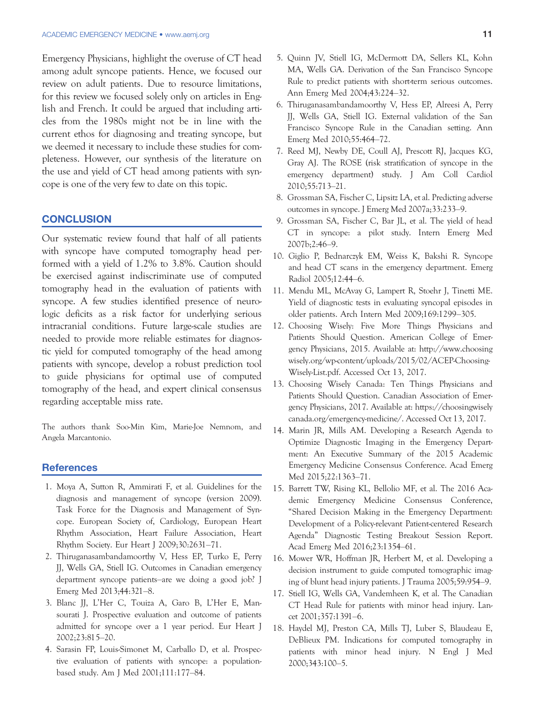Emergency Physicians, highlight the overuse of CT head among adult syncope patients. Hence, we focused our review on adult patients. Due to resource limitations, for this review we focused solely only on articles in English and French. It could be argued that including articles from the 1980s might not be in line with the current ethos for diagnosing and treating syncope, but we deemed it necessary to include these studies for completeness. However, our synthesis of the literature on the use and yield of CT head among patients with syncope is one of the very few to date on this topic.

#### **CONCLUSION**

Our systematic review found that half of all patients with syncope have computed tomography head performed with a yield of 1.2% to 3.8%. Caution should be exercised against indiscriminate use of computed tomography head in the evaluation of patients with syncope. A few studies identified presence of neurologic deficits as a risk factor for underlying serious intracranial conditions. Future large-scale studies are needed to provide more reliable estimates for diagnostic yield for computed tomography of the head among patients with syncope, develop a robust prediction tool to guide physicians for optimal use of computed tomography of the head, and expert clinical consensus regarding acceptable miss rate.

The authors thank Soo-Min Kim, Marie-Joe Nemnom, and Angela Marcantonio.

#### **References**

- 1. Moya A, Sutton R, Ammirati F, et al. Guidelines for the diagnosis and management of syncope (version 2009). Task Force for the Diagnosis and Management of Syncope. European Society of, Cardiology, European Heart Rhythm Association, Heart Failure Association, Heart Rhythm Society. Eur Heart J 2009;30:2631–71.
- 2. Thiruganasambandamoorthy V, Hess EP, Turko E, Perry JJ, Wells GA, Stiell IG. Outcomes in Canadian emergency department syncope patients–are we doing a good job? J Emerg Med 2013;44:321–8.
- 3. Blanc JJ, L'Her C, Touiza A, Garo B, L'Her E, Mansourati J. Prospective evaluation and outcome of patients admitted for syncope over a 1 year period. Eur Heart J 2002;23:815–20.
- 4. Sarasin FP, Louis-Simonet M, Carballo D, et al. Prospective evaluation of patients with syncope: a populationbased study. Am J Med 2001;111:177–84.
- 5. Quinn JV, Stiell IG, McDermott DA, Sellers KL, Kohn MA, Wells GA. Derivation of the San Francisco Syncope Rule to predict patients with short-term serious outcomes. Ann Emerg Med 2004;43:224–32.
- 6. Thiruganasambandamoorthy V, Hess EP, Alreesi A, Perry JJ, Wells GA, Stiell IG. External validation of the San Francisco Syncope Rule in the Canadian setting. Ann Emerg Med 2010;55:464–72.
- 7. Reed MJ, Newby DE, Coull AJ, Prescott RJ, Jacques KG, Gray AJ. The ROSE (risk stratification of syncope in the emergency department) study. J Am Coll Cardiol 2010;55:713–21.
- 8. Grossman SA, Fischer C, Lipsitz LA, et al. Predicting adverse outcomes in syncope. J Emerg Med 2007a;33:233–9.
- 9. Grossman SA, Fischer C, Bar JL, et al. The yield of head CT in syncope: a pilot study. Intern Emerg Med 2007b;2:46–9.
- 10. Giglio P, Bednarczyk EM, Weiss K, Bakshi R. Syncope and head CT scans in the emergency department. Emerg Radiol 2005;12:44–6.
- 11. Mendu ML, McAvay G, Lampert R, Stoehr J, Tinetti ME. Yield of diagnostic tests in evaluating syncopal episodes in older patients. Arch Intern Med 2009;169:1299–305.
- 12. Choosing Wisely: Five More Things Physicians and Patients Should Question. American College of Emergency Physicians, 2015. Available at: [http://www.choosing](http://www.choosingwisely.org/wp-content/uploads/2015/02/ACEP-Choosing-Wisely-List.pdf) [wisely.org/wp-content/uploads/2015/02/ACEP-Choosing-](http://www.choosingwisely.org/wp-content/uploads/2015/02/ACEP-Choosing-Wisely-List.pdf)[Wisely-List.pdf](http://www.choosingwisely.org/wp-content/uploads/2015/02/ACEP-Choosing-Wisely-List.pdf). Accessed Oct 13, 2017.
- 13. Choosing Wisely Canada: Ten Things Physicians and Patients Should Question. Canadian Association of Emergency Physicians, 2017. Available at: [https://choosingwisely](https://choosingwiselycanada.org/emergency-medicine/) [canada.org/emergency-medicine/](https://choosingwiselycanada.org/emergency-medicine/). Accessed Oct 13, 2017.
- 14. Marin JR, Mills AM. Developing a Research Agenda to Optimize Diagnostic Imaging in the Emergency Department: An Executive Summary of the 2015 Academic Emergency Medicine Consensus Conference. Acad Emerg Med 2015;22:1363–71.
- 15. Barrett TW, Rising KL, Bellolio MF, et al. The 2016 Academic Emergency Medicine Consensus Conference, "Shared Decision Making in the Emergency Department: Development of a Policy-relevant Patient-centered Research Agenda" Diagnostic Testing Breakout Session Report. Acad Emerg Med 2016;23:1354–61.
- 16. Mower WR, Hoffman JR, Herbert M, et al. Developing a decision instrument to guide computed tomographic imaging of blunt head injury patients. J Trauma 2005;59:954–9.
- 17. Stiell IG, Wells GA, Vandemheen K, et al. The Canadian CT Head Rule for patients with minor head injury. Lancet 2001;357:1391–6.
- 18. Haydel MJ, Preston CA, Mills TJ, Luber S, Blaudeau E, DeBlieux PM. Indications for computed tomography in patients with minor head injury. N Engl J Med 2000;343:100–5.